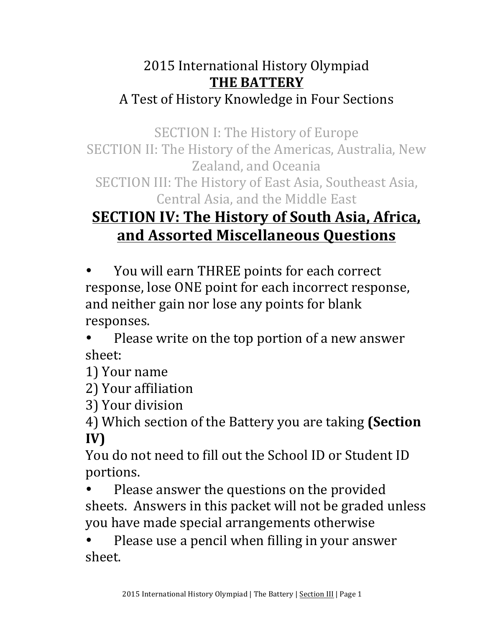## 2015 International History Olympiad **THE BATTERY** A Test of History Knowledge in Four Sections

SECTION I: The History of Europe

SECTION II: The History of the Americas, Australia, New Zealand, and Oceania

SECTION III: The History of East Asia, Southeast Asia, Central Asia, and the Middle East

## **SECTION IV: The History of South Asia, Africa, and Assorted Miscellaneous Questions**

You will earn THREE points for each correct response, lose ONE point for each incorrect response, and neither gain nor lose any points for blank responses.

Please write on the top portion of a new answer sheet:

1) Your name

2) Your affiliation

3) Your division

4) Which section of the Battery you are taking (Section **IV)**

You do not need to fill out the School ID or Student ID portions. 

Please answer the questions on the provided sheets. Answers in this packet will not be graded unless you have made special arrangements otherwise

Please use a pencil when filling in your answer sheet.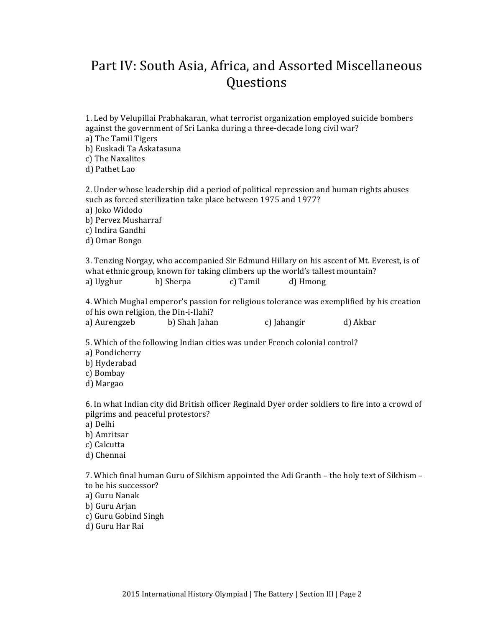## Part IV: South Asia, Africa, and Assorted Miscellaneous Questions

| a) The Tamil Tigers<br>b) Euskadi Ta Askatasuna<br>c) The Naxalites<br>d) Pathet Lao              | against the government of Sri Lanka during a three-decade long civil war?                  |          |             | 1. Led by Velupillai Prabhakaran, what terrorist organization employed suicide bombers          |  |
|---------------------------------------------------------------------------------------------------|--------------------------------------------------------------------------------------------|----------|-------------|-------------------------------------------------------------------------------------------------|--|
| a) Joko Widodo<br>b) Pervez Musharraf<br>c) Indira Gandhi<br>d) Omar Bongo                        | such as forced sterilization take place between 1975 and 1977?                             |          |             | 2. Under whose leadership did a period of political repression and human rights abuses          |  |
| a) Uyghur                                                                                         | what ethnic group, known for taking climbers up the world's tallest mountain?<br>b) Sherpa | c) Tamil | d) Hmong    | 3. Tenzing Norgay, who accompanied Sir Edmund Hillary on his ascent of Mt. Everest, is of       |  |
|                                                                                                   | of his own religion, the Din-i-Ilahi?                                                      |          |             | 4. Which Mughal emperor's passion for religious tolerance was exemplified by his creation       |  |
| a) Aurengzeb                                                                                      | b) Shah Jahan                                                                              |          | c) Jahangir | d) Akbar                                                                                        |  |
| a) Pondicherry<br>b) Hyderabad<br>c) Bombay<br>d) Margao                                          | 5. Which of the following Indian cities was under French colonial control?                 |          |             |                                                                                                 |  |
| pilgrims and peaceful protestors?<br>a) Delhi<br>b) Amritsar<br>c) Calcutta<br>d) Chennai         |                                                                                            |          |             | 6. In what Indian city did British officer Reginald Dyer order soldiers to fire into a crowd of |  |
| to be his successor?<br>a) Guru Nanak<br>b) Guru Arjan<br>c) Guru Gobind Singh<br>d) Guru Har Rai |                                                                                            |          |             | 7. Which final human Guru of Sikhism appointed the Adi Granth - the holy text of Sikhism -      |  |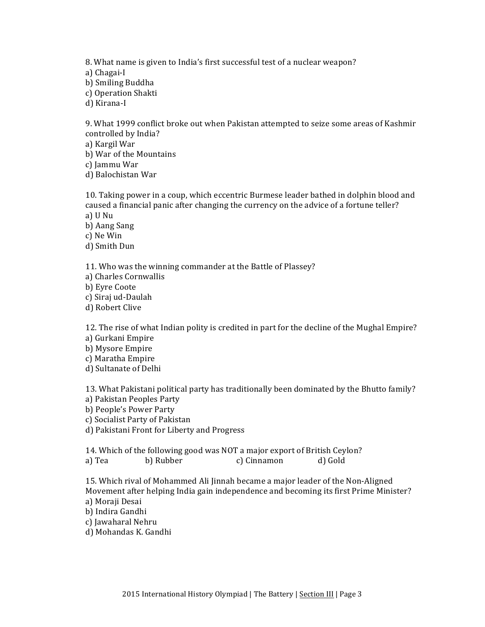8. What name is given to India's first successful test of a nuclear weapon? a) Chagai-I b) Smiling Buddha c) Operation Shakti d) Kirana-I

9. What 1999 conflict broke out when Pakistan attempted to seize some areas of Kashmir controlled by India?

a) Kargil War

b) War of the Mountains

c) Jammu War

d) Balochistan War

10. Taking power in a coup, which eccentric Burmese leader bathed in dolphin blood and caused a financial panic after changing the currency on the advice of a fortune teller? a) U Nu

b) Aang Sang

c) Ne Win

d) Smith Dun

11. Who was the winning commander at the Battle of Plassey?

a) Charles Cornwallis

b) Eyre Coote

c) Siraj ud-Daulah

d) Robert Clive

12. The rise of what Indian polity is credited in part for the decline of the Mughal Empire? a) Gurkani Empire

b) Mysore Empire

c) Maratha Empire

d) Sultanate of Delhi

13. What Pakistani political party has traditionally been dominated by the Bhutto family? a) Pakistan Peoples Party

b) People's Power Party

c) Socialist Party of Pakistan

d) Pakistani Front for Liberty and Progress

14. Which of the following good was NOT a major export of British Ceylon?

a) Tea b) Rubber c) Cinnamon d) Gold

15. Which rival of Mohammed Ali Jinnah became a major leader of the Non-Aligned Movement after helping India gain independence and becoming its first Prime Minister? a) Moraji Desai

b) Indira Gandhi

c) Jawaharal Nehru

d) Mohandas K. Gandhi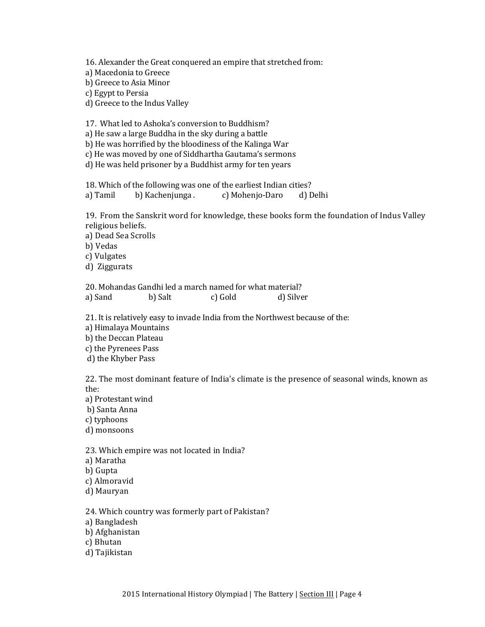16. Alexander the Great conquered an empire that stretched from: a) Macedonia to Greece b) Greece to Asia Minor c) Egypt to Persia d) Greece to the Indus Valley

17. What led to Ashoka's conversion to Buddhism?

a) He saw a large Buddha in the sky during a battle

b) He was horrified by the bloodiness of the Kalinga War

c) He was moved by one of Siddhartha Gautama's sermons

d) He was held prisoner by a Buddhist army for ten years

18. Which of the following was one of the earliest Indian cities? a) Tamil b) Kachenjunga . c) Mohenjo-Daro d) Delhi

19. From the Sanskrit word for knowledge, these books form the foundation of Indus Valley religious beliefs.

a) Dead Sea Scrolls

b) Vedas

c) Vulgates

d) Ziggurats

20. Mohandas Gandhi led a march named for what material? a) Sand b) Salt c) Gold d) Silver

21. It is relatively easy to invade India from the Northwest because of the:

a) Himalaya Mountains

b) the Deccan Plateau

c) the Pyrenees Pass

d) the Khyber Pass

22. The most dominant feature of India's climate is the presence of seasonal winds, known as the:

a) Protestant wind

b) Santa Anna

c) typhoons

d) monsoons

23. Which empire was not located in India?

a) Maratha

b) Gupta

c) Almoravid

d) Mauryan

24. Which country was formerly part of Pakistan?

a) Bangladesh

b) Afghanistan

c) Bhutan

d) Tajikistan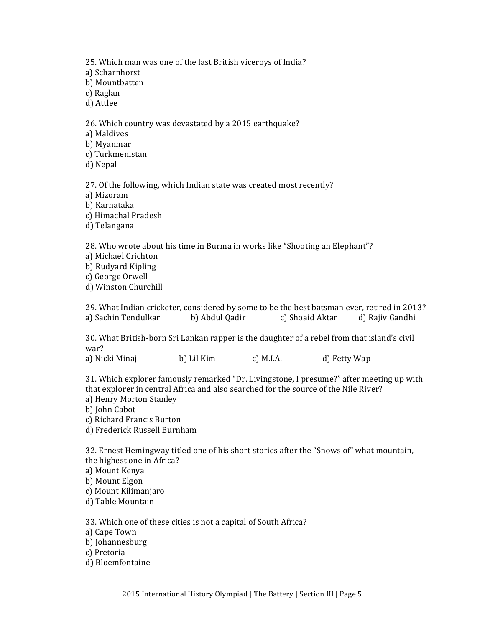25. Which man was one of the last British viceroys of India? a) Scharnhorst b) Mountbatten c) Raglan d) Attlee 26. Which country was devastated by a 2015 earthquake? a) Maldives b) Myanmar c) Turkmenistan d) Nepal 27. Of the following, which Indian state was created most recently? a) Mizoram b) Karnataka c) Himachal Pradesh d) Telangana 28. Who wrote about his time in Burma in works like "Shooting an Elephant"? a) Michael Crichton b) Rudyard Kipling c) George Orwell d) Winston Churchill 29. What Indian cricketer, considered by some to be the best batsman ever, retired in 2013?

a) Sachin Tendulkar b) Abdul Qadir c) Shoaid Aktar d) Rajiv Gandhi

30. What British-born Sri Lankan rapper is the daughter of a rebel from that island's civil war?

a) Nicki Minaj b) Lil Kim c) M.I.A. d) Fetty Wap

31. Which explorer famously remarked "Dr. Livingstone, I presume?" after meeting up with that explorer in central Africa and also searched for the source of the Nile River? a) Henry Morton Stanley

- b) John Cabot
- c) Richard Francis Burton
- d) Frederick Russell Burnham

32. Ernest Hemingway titled one of his short stories after the "Snows of" what mountain, the highest one in Africa? a) Mount Kenya b) Mount Elgon c) Mount Kilimanjaro d) Table Mountain

33. Which one of these cities is not a capital of South Africa? a) Cape Town b) Johannesburg c) Pretoria d) Bloemfontaine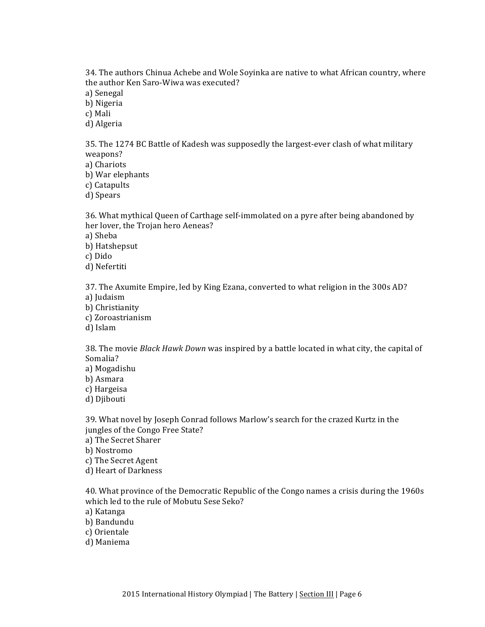34. The authors Chinua Achebe and Wole Soyinka are native to what African country, where the author Ken Saro-Wiwa was executed? a) Senegal

b) Nigeria c) Mali

d) Algeria

35. The 1274 BC Battle of Kadesh was supposedly the largest-ever clash of what military weapons? a) Chariots

b) War elephants c) Catapults

d) Spears

36. What mythical Queen of Carthage self-immolated on a pyre after being abandoned by her lover, the Trojan hero Aeneas?

a) Sheba

b) Hatshepsut

c) Dido

d) Nefertiti

37. The Axumite Empire, led by King Ezana, converted to what religion in the 300s AD? a) Judaism

b) Christianity

c) Zoroastrianism

d) Islam

38. The movie *Black Hawk Down* was inspired by a battle located in what city, the capital of Somalia?

a) Mogadishu

b) Asmara

c) Hargeisa

d) Djibouti

39. What novel by Joseph Conrad follows Marlow's search for the crazed Kurtz in the jungles of the Congo Free State?

a) The Secret Sharer

b) Nostromo

c) The Secret Agent

d) Heart of Darkness

40. What province of the Democratic Republic of the Congo names a crisis during the 1960s which led to the rule of Mobutu Sese Seko?

a) Katanga

b) Bandundu

c) Orientale

d) Maniema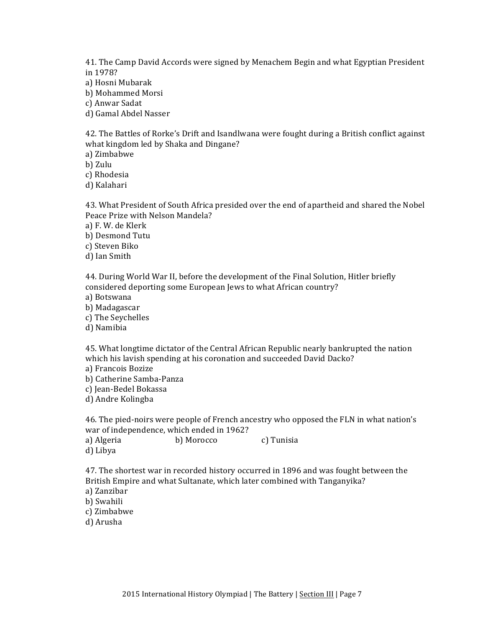41. The Camp David Accords were signed by Menachem Begin and what Egyptian President in 1978?

a) Hosni Mubarak

b) Mohammed Morsi

c) Anwar Sadat

d) Gamal Abdel Nasser

42. The Battles of Rorke's Drift and Isandlwana were fought during a British conflict against what kingdom led by Shaka and Dingane?

a) Zimbabwe

b) Zulu

c) Rhodesia

d) Kalahari

43. What President of South Africa presided over the end of apartheid and shared the Nobel Peace Prize with Nelson Mandela?

a) F. W. de Klerk

b) Desmond Tutu

c) Steven Biko

d) Ian Smith

44. During World War II, before the development of the Final Solution, Hitler briefly considered deporting some European Jews to what African country?

a) Botswana

b) Madagascar

c) The Seychelles

d) Namibia

45. What longtime dictator of the Central African Republic nearly bankrupted the nation which his lavish spending at his coronation and succeeded David Dacko?

a) Francois Bozize

b) Catherine Samba-Panza

c) Jean-Bedel Bokassa

d) Andre Kolingba

46. The pied-noirs were people of French ancestry who opposed the FLN in what nation's war of independence, which ended in 1962?

a) Algeria b) Morocco c) Tunisia d) Libya

47. The shortest war in recorded history occurred in 1896 and was fought between the British Empire and what Sultanate, which later combined with Tanganyika?

a) Zanzibar

b) Swahili

c) Zimbabwe

d) Arusha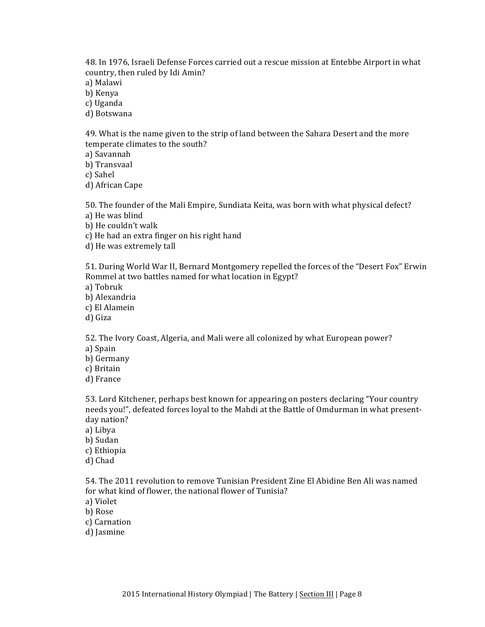48. In 1976, Israeli Defense Forces carried out a rescue mission at Entebbe Airport in what country, then ruled by Idi Amin?

a) Malawi

b) Kenya

c) Uganda

d) Botswana

49. What is the name given to the strip of land between the Sahara Desert and the more temperate climates to the south?

a) Savannah 

b) Transvaal

c) Sahel

d) African Cape

50. The founder of the Mali Empire, Sundiata Keita, was born with what physical defect?

a) He was blind

b) He couldn't walk

c) He had an extra finger on his right hand

d) He was extremely tall

51. During World War II, Bernard Montgomery repelled the forces of the "Desert Fox" Erwin Rommel at two battles named for what location in Egypt?

- a) Tobruk
- b) Alexandria
- c) El Alamein
- d) Giza

52. The Ivory Coast, Algeria, and Mali were all colonized by what European power? a) Spain

b) Germany

c) Britain

d) France

53. Lord Kitchener, perhaps best known for appearing on posters declaring "Your country" needs you!", defeated forces loyal to the Mahdi at the Battle of Omdurman in what presentday nation?

a) Libya

b) Sudan

c) Ethiopia

d) Chad

54. The 2011 revolution to remove Tunisian President Zine El Abidine Ben Ali was named for what kind of flower, the national flower of Tunisia?

a) Violet

b) Rose

c) Carnation

d) Jasmine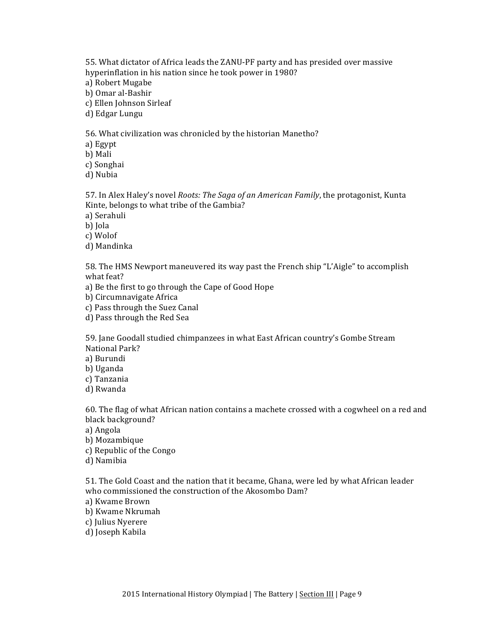55. What dictator of Africa leads the ZANU-PF party and has presided over massive hyperinflation in his nation since he took power in 1980? a) Robert Mugabe b) Omar al-Bashir

c) Ellen Johnson Sirleaf

d) Edgar Lungu

56. What civilization was chronicled by the historian Manetho?

a) Egypt

b) Mali

c) Songhai

d) Nubia

57. In Alex Haley's novel *Roots: The Saga of an American Family*, the protagonist, Kunta Kinte, belongs to what tribe of the Gambia?

a) Serahuli

b) Iola

c) Wolof

d) Mandinka

58. The HMS Newport maneuvered its way past the French ship "L'Aigle" to accomplish what feat?

a) Be the first to go through the Cape of Good Hope

b) Circumnavigate Africa

c) Pass through the Suez Canal

d) Pass through the Red Sea

59. Jane Goodall studied chimpanzees in what East African country's Gombe Stream National Park?

a) Burundi

b) Uganda

c) Tanzania

d) Rwanda

60. The flag of what African nation contains a machete crossed with a cogwheel on a red and black background?

a) Angola

b) Mozambique

c) Republic of the Congo

d) Namibia

51. The Gold Coast and the nation that it became, Ghana, were led by what African leader who commissioned the construction of the Akosombo Dam?

a) Kwame Brown

b) Kwame Nkrumah

c) Julius Nyerere

d) Joseph Kabila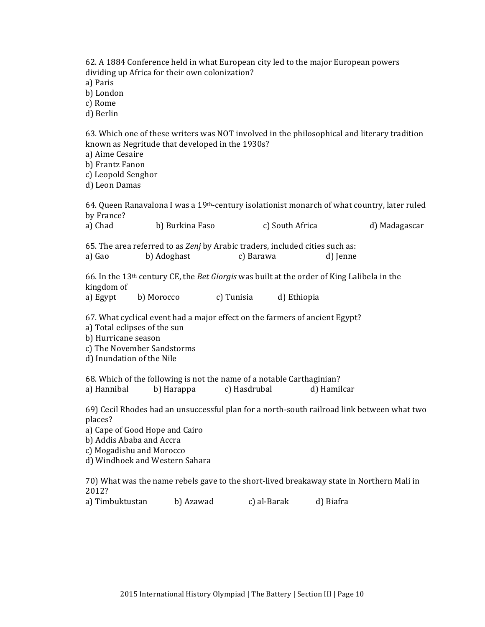|                                                                                                                                                                                                                                   | dividing up Africa for their own colonization?<br>a) Paris<br>b) London<br>c) Rome<br>d) Berlin                                                                                                                             |            |                 |            |             |                 | 62. A 1884 Conference held in what European city led to the major European powers                             |                                                                                                          |  |  |  |
|-----------------------------------------------------------------------------------------------------------------------------------------------------------------------------------------------------------------------------------|-----------------------------------------------------------------------------------------------------------------------------------------------------------------------------------------------------------------------------|------------|-----------------|------------|-------------|-----------------|---------------------------------------------------------------------------------------------------------------|----------------------------------------------------------------------------------------------------------|--|--|--|
|                                                                                                                                                                                                                                   | 63. Which one of these writers was NOT involved in the philosophical and literary tradition<br>known as Negritude that developed in the 1930s?<br>a) Aime Cesaire<br>b) Frantz Fanon<br>c) Leopold Senghor<br>d) Leon Damas |            |                 |            |             |                 |                                                                                                               |                                                                                                          |  |  |  |
|                                                                                                                                                                                                                                   | by France?                                                                                                                                                                                                                  |            |                 |            |             |                 |                                                                                                               | 64. Queen Ranavalona I was a 19 <sup>th</sup> -century isolationist monarch of what country, later ruled |  |  |  |
|                                                                                                                                                                                                                                   | a) Chad                                                                                                                                                                                                                     |            | b) Burkina Faso |            |             | c) South Africa |                                                                                                               | d) Madagascar                                                                                            |  |  |  |
|                                                                                                                                                                                                                                   | 65. The area referred to as Zenj by Arabic traders, included cities such as:<br>b) Adoghast<br>c) Barawa<br>a) Gao<br>d) Jenne                                                                                              |            |                 |            |             |                 |                                                                                                               |                                                                                                          |  |  |  |
|                                                                                                                                                                                                                                   | kingdom of<br>a) Egypt                                                                                                                                                                                                      | b) Morocco |                 | c) Tunisia |             | d) Ethiopia     | 66. In the 13 <sup>th</sup> century CE, the <i>Bet Giorgis</i> was built at the order of King Lalibela in the |                                                                                                          |  |  |  |
| 67. What cyclical event had a major effect on the farmers of ancient Egypt?<br>a) Total eclipses of the sun<br>b) Hurricane season<br>c) The November Sandstorms<br>d) Inundation of the Nile                                     |                                                                                                                                                                                                                             |            |                 |            |             |                 |                                                                                                               |                                                                                                          |  |  |  |
| 68. Which of the following is not the name of a notable Carthaginian?<br>a) Hannibal<br>b) Harappa<br>c) Hasdrubal<br>d) Hamilcar                                                                                                 |                                                                                                                                                                                                                             |            |                 |            |             |                 |                                                                                                               |                                                                                                          |  |  |  |
| 69) Cecil Rhodes had an unsuccessful plan for a north-south railroad link between what two<br>places?<br>a) Cape of Good Hope and Cairo<br>b) Addis Ababa and Accra<br>c) Mogadishu and Morocco<br>d) Windhoek and Western Sahara |                                                                                                                                                                                                                             |            |                 |            |             |                 |                                                                                                               |                                                                                                          |  |  |  |
|                                                                                                                                                                                                                                   |                                                                                                                                                                                                                             |            |                 |            |             |                 |                                                                                                               | 70) What was the name rebels gave to the short-lived breakaway state in Northern Mali in                 |  |  |  |
|                                                                                                                                                                                                                                   | 2012?<br>a) Timbuktustan                                                                                                                                                                                                    |            | b) Azawad       |            | c) al-Barak |                 | d) Biafra                                                                                                     |                                                                                                          |  |  |  |
|                                                                                                                                                                                                                                   |                                                                                                                                                                                                                             |            |                 |            |             |                 |                                                                                                               |                                                                                                          |  |  |  |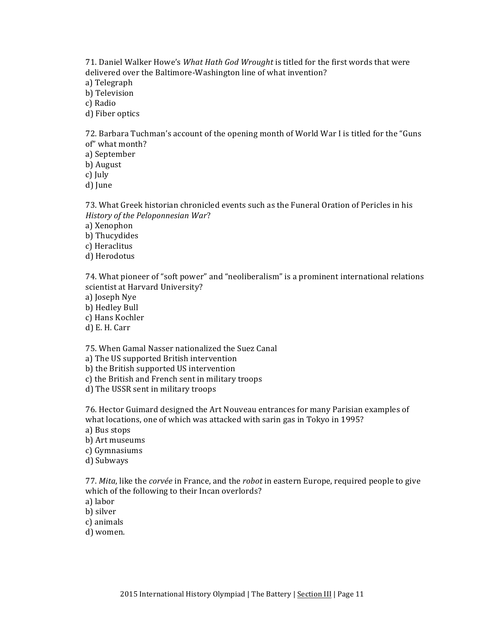71. Daniel Walker Howe's What Hath God Wrought is titled for the first words that were delivered over the Baltimore-Washington line of what invention? a) Telegraph b) Television c) Radio

d) Fiber optics

72. Barbara Tuchman's account of the opening month of World War I is titled for the "Guns of" what month?

a) September

b) August

c) July

d) June

73. What Greek historian chronicled events such as the Funeral Oration of Pericles in his *History of the Peloponnesian War*?

a) Xenophon

- b) Thucydides
- c) Heraclitus
- d) Herodotus

74. What pioneer of "soft power" and "neoliberalism" is a prominent international relations scientist at Harvard University?

a) Joseph Nye

b) Hedley Bull

c) Hans Kochler

d) E. H. Carr

75. When Gamal Nasser nationalized the Suez Canal

a) The US supported British intervention

b) the British supported US intervention

c) the British and French sent in military troops

d) The USSR sent in military troops

76. Hector Guimard designed the Art Nouveau entrances for many Parisian examples of what locations, one of which was attacked with sarin gas in Tokyo in 1995?

a) Bus stops

b) Art museums

c) Gymnasiums

d) Subways

77. *Mita*, like the *corvée* in France, and the *robot* in eastern Europe, required people to give which of the following to their Incan overlords?

a) labor

b) silver

c) animals

d) women.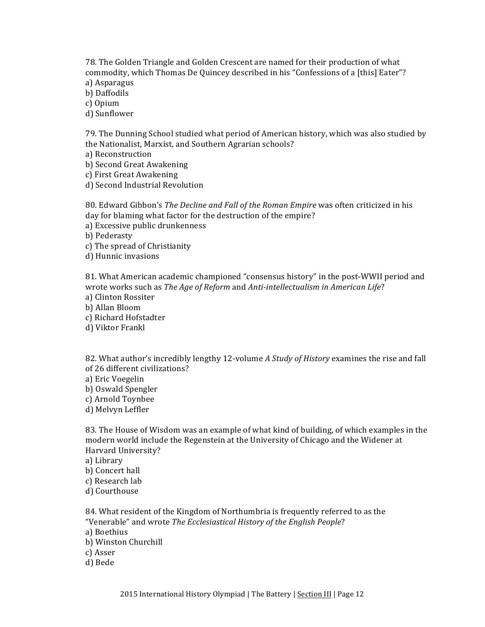78. The Golden Triangle and Golden Crescent are named for their production of what commodity, which Thomas De Quincey described in his "Confessions of a [this] Eater"?

a) Asparagus

b) Daffodils

c) Opium

d) Sunflower

79. The Dunning School studied what period of American history, which was also studied by the Nationalist, Marxist, and Southern Agrarian schools?

a) Reconstruction

b) Second Great Awakening

c) First Great Awakening

d) Second Industrial Revolution

80. Edward Gibbon's *The Decline and Fall of the Roman Empire* was often criticized in his day for blaming what factor for the destruction of the empire?

a) Excessive public drunkenness

b) Pederasty

c) The spread of Christianity

d) Hunnic invasions

81. What American academic championed "consensus history" in the post-WWII period and wrote works such as *The Age of Reform* and *Anti-intellectualism in American Life*?

- a) Clinton Rossiter
- b) Allan Bloom
- c) Richard Hofstadter

d) Viktor Frankl

82. What author's incredibly lengthy 12-volume A Study of History examines the rise and fall of 26 different civilizations?

- a) Eric Voegelin
- b) Oswald Spengler
- c) Arnold Toynbee

d) Melvyn Leffler

83. The House of Wisdom was an example of what kind of building, of which examples in the modern world include the Regenstein at the University of Chicago and the Widener at Harvard University?

a) Library

- b) Concert hall
- c) Research lab

d) Courthouse

84. What resident of the Kingdom of Northumbria is frequently referred to as the "Venerable" and wrote *The Ecclesiastical History of the English People*?

- a) Boethius
- b) Winston Churchill
- c) Asser

d) Bede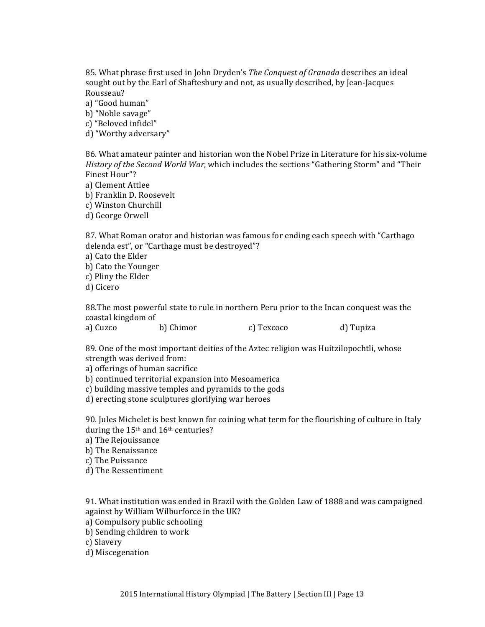85. What phrase first used in John Dryden's *The Conquest of Granada* describes an ideal sought out by the Earl of Shaftesbury and not, as usually described, by Jean-Jacques Rousseau?

a) "Good human"

b) "Noble savage"

c) "Beloved infidel"

d) "Worthy adversary"

86. What amateur painter and historian won the Nobel Prize in Literature for his six-volume *History of the Second World War,* which includes the sections "Gathering Storm" and "Their Finest Hour"?

a) Clement Attlee

b) Franklin D. Roosevelt

c) Winston Churchill

d) George Orwell

87. What Roman orator and historian was famous for ending each speech with "Carthago" delenda est", or "Carthage must be destroyed"?

a) Cato the Elder

b) Cato the Younger

c) Pliny the Elder

d) Cicero

88. The most powerful state to rule in northern Peru prior to the Incan conquest was the coastal kingdom of

a) Cuzco b) Chimor c) Texcoco d) Tupiza

89. One of the most important deities of the Aztec religion was Huitzilopochtli, whose strength was derived from:

a) offerings of human sacrifice

b) continued territorial expansion into Mesoamerica

c) building massive temples and pyramids to the gods

d) erecting stone sculptures glorifying war heroes

90. Jules Michelet is best known for coining what term for the flourishing of culture in Italy during the  $15<sup>th</sup>$  and  $16<sup>th</sup>$  centuries?

a) The Rejouissance

b) The Renaissance

c) The Puissance

d) The Ressentiment

91. What institution was ended in Brazil with the Golden Law of 1888 and was campaigned against by William Wilburforce in the UK?

a) Compulsory public schooling

b) Sending children to work

c) Slavery

d) Miscegenation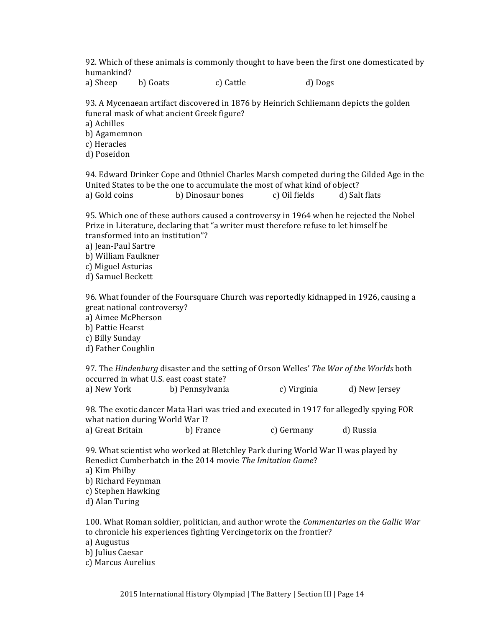92. Which of these animals is commonly thought to have been the first one domesticated by humankind?

a) Sheep b) Goats c) Cattle d) Dogs

93. A Mycenaean artifact discovered in 1876 by Heinrich Schliemann depicts the golden funeral mask of what ancient Greek figure?

a) Achilles

b) Agamemnon

c) Heracles

d) Poseidon

94. Edward Drinker Cope and Othniel Charles Marsh competed during the Gilded Age in the United States to be the one to accumulate the most of what kind of object? a) Gold coins b) Dinosaur bones c) Oil fields d) Salt flats

95. Which one of these authors caused a controversy in 1964 when he rejected the Nobel Prize in Literature, declaring that "a writer must therefore refuse to let himself be transformed into an institution"?

a) Iean-Paul Sartre

b) William Faulkner

c) Miguel Asturias

d) Samuel Beckett

96. What founder of the Foursquare Church was reportedly kidnapped in 1926, causing a great national controversy? a) Aimee McPherson

b) Pattie Hearst

c) Billy Sunday d) Father Coughlin

97. The *Hindenburg* disaster and the setting of Orson Welles' *The War of the Worlds* both occurred in what U.S. east coast state?

a) New York b) Pennsylvania c) Virginia d) New Jersey

98. The exotic dancer Mata Hari was tried and executed in 1917 for allegedly spying FOR what nation during World War I? a) Great Britain b) France c) Germany d) Russia

99. What scientist who worked at Bletchley Park during World War II was played by Benedict Cumberbatch in the 2014 movie The Imitation Game? a) Kim Philby b) Richard Feynman

c) Stephen Hawking

d) Alan Turing

100. What Roman soldier, politician, and author wrote the *Commentaries* on the *Gallic War* to chronicle his experiences fighting Vercingetorix on the frontier?

a) Augustus

b) Julius Caesar

c) Marcus Aurelius